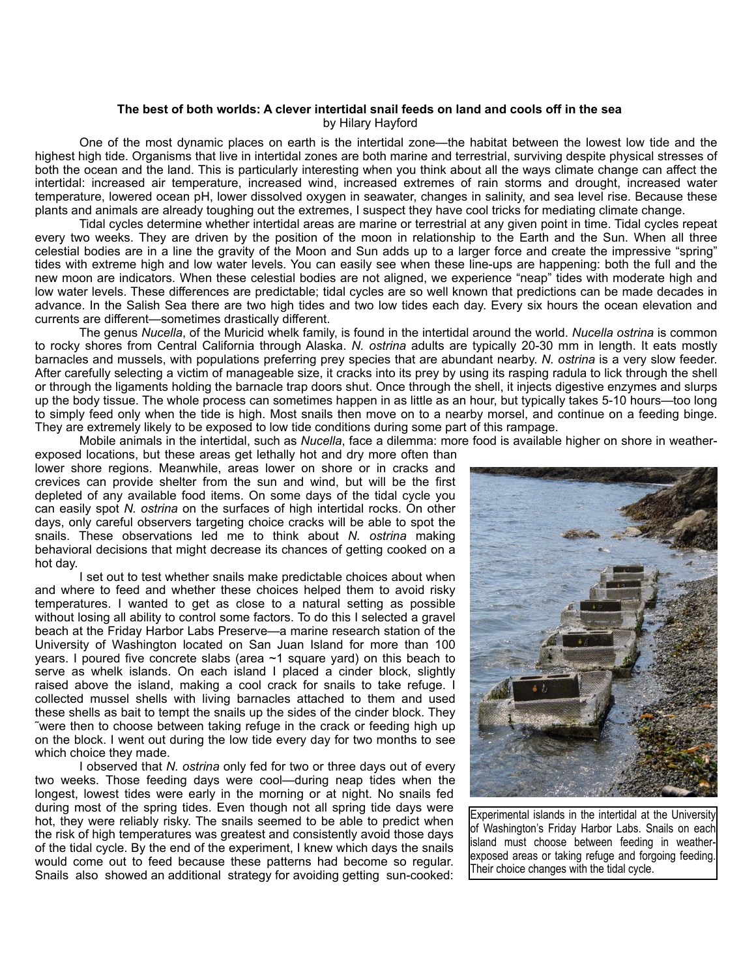## **The best of both worlds: A clever intertidal snail feeds on land and cools off in the sea** by Hilary Hayford

 One of the most dynamic places on earth is the intertidal zone—the habitat between the lowest low tide and the highest high tide. Organisms that live in intertidal zones are both marine and terrestrial, surviving despite physical stresses of both the ocean and the land. This is particularly interesting when you think about all the ways climate change can affect the intertidal: increased air temperature, increased wind, increased extremes of rain storms and drought, increased water temperature, lowered ocean pH, lower dissolved oxygen in seawater, changes in salinity, and sea level rise. Because these plants and animals are already toughing out the extremes, I suspect they have cool tricks for mediating climate change.

 Tidal cycles determine whether intertidal areas are marine or terrestrial at any given point in time. Tidal cycles repeat every two weeks. They are driven by the position of the moon in relationship to the Earth and the Sun. When all three celestial bodies are in a line the gravity of the Moon and Sun adds up to a larger force and create the impressive "spring" tides with extreme high and low water levels. You can easily see when these line-ups are happening: both the full and the new moon are indicators. When these celestial bodies are not aligned, we experience "neap" tides with moderate high and low water levels. These differences are predictable; tidal cycles are so well known that predictions can be made decades in advance. In the Salish Sea there are two high tides and two low tides each day. Every six hours the ocean elevation and currents are different—sometimes drastically different.

 The genus *Nucella*, of the Muricid whelk family, is found in the intertidal around the world. *Nucella ostrina* is common to rocky shores from Central California through Alaska. *N. ostrina* adults are typically 20-30 mm in length. It eats mostly barnacles and mussels, with populations preferring prey species that are abundant nearby. *N. ostrina* is a very slow feeder. After carefully selecting a victim of manageable size, it cracks into its prey by using its rasping radula to lick through the shell or through the ligaments holding the barnacle trap doors shut. Once through the shell, it injects digestive enzymes and slurps up the body tissue. The whole process can sometimes happen in as little as an hour, but typically takes 5-10 hours—too long to simply feed only when the tide is high. Most snails then move on to a nearby morsel, and continue on a feeding binge. They are extremely likely to be exposed to low tide conditions during some part of this rampage.

Mobile animals in the intertidal, such as *Nucella*, face a dilemma: more food is available higher on shore in weather-

exposed locations, but these areas get lethally hot and dry more often than lower shore regions. Meanwhile, areas lower on shore or in cracks and crevices can provide shelter from the sun and wind, but will be the first depleted of any available food items. On some days of the tidal cycle you can easily spot *N. ostrina* on the surfaces of high intertidal rocks. On other days, only careful observers targeting choice cracks will be able to spot the snails. These observations led me to think about *N. ostrina* making behavioral decisions that might decrease its chances of getting cooked on a hot day.

 I set out to test whether snails make predictable choices about when and where to feed and whether these choices helped them to avoid risky temperatures. I wanted to get as close to a natural setting as possible without losing all ability to control some factors. To do this I selected a gravel beach at the Friday Harbor Labs Preserve—a marine research station of the University of Washington located on San Juan Island for more than 100 years. I poured five concrete slabs (area ~1 square yard) on this beach to serve as whelk islands. On each island I placed a cinder block, slightly raised above the island, making a cool crack for snails to take refuge. I collected mussel shells with living barnacles attached to them and used these shells as bait to tempt the snails up the sides of the cinder block. They ˜were then to choose between taking refuge in the crack or feeding high up on the block. I went out during the low tide every day for two months to see which choice they made.

 I observed that *N. ostrina* only fed for two or three days out of every two weeks. Those feeding days were cool—during neap tides when the longest, lowest tides were early in the morning or at night. No snails fed during most of the spring tides. Even though not all spring tide days were hot, they were reliably risky. The snails seemed to be able to predict when the risk of high temperatures was greatest and consistently avoid those days of the tidal cycle. By the end of the experiment, I knew which days the snails would come out to feed because these patterns had become so regular. Snails also showed an additional strategy for avoiding getting sun-cooked:



Experimental islands in the intertidal at the University of Washington's Friday Harbor Labs. Snails on each island must choose between feeding in weatherexposed areas or taking refuge and forgoing feeding. Their choice changes with the tidal cycle.